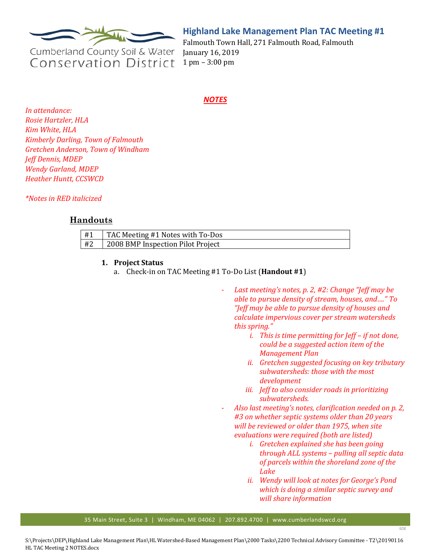

# **Highland Lake Management Plan TAC Meeting #1**

Cumberland County Soil & Water **Conservation District** 

Falmouth Town Hall, 271 Falmouth Road, Falmouth January 16, 2019 1 pm – 3:00 pm

### *NOTES*

*In attendance: Rosie Hartzler, HLA Kim White, HLA Kimberly Darling, Town of Falmouth Gretchen Anderson, Town of Windham Jeff Dennis, MDEP Wendy Garland, MDEP Heather Huntt, CCSWCD*

*\*Notes in RED italicized* 

## **Handouts**

| l #1 | TAC Meeting #1 Notes with To-Dos  |
|------|-----------------------------------|
| #2   | 2008 BMP Inspection Pilot Project |

#### **1. Project Status**

- a. Check-in on TAC Meeting #1 To-Do List (**Handout #1**)
	- Last meeting's notes, p. 2, #2: Change "Jeff may be *able to pursue density of stream, houses, and…." To "Jeff may be able to pursue density of houses and calculate impervious cover per stream watersheds this spring."*
		- *i. This is time permitting for Jeff – if not done, could be a suggested action item of the Management Plan*
		- *ii. Gretchen suggested focusing on key tributary subwatersheds: those with the most development*
		- *iii. Jeff to also consider roads in prioritizing subwatersheds.*
	- *Also last meeting's notes, clarification needed on p. 2, #3 on whether septic systems older than 20 years will be reviewed or older than 1975, when site evaluations were required (both are listed)*
		- *i. Gretchen explained she has been going through ALL systems – pulling all septic data of parcels within the shoreland zone of the Lake*
		- *ii. Wendy will look at notes for George's Pond which is doing a similar septic survey and will share information*

EOE

35 Main Street, Suite 3 | Windham, ME 04062 | 207.892.4700 | www.cumberlandswcd.org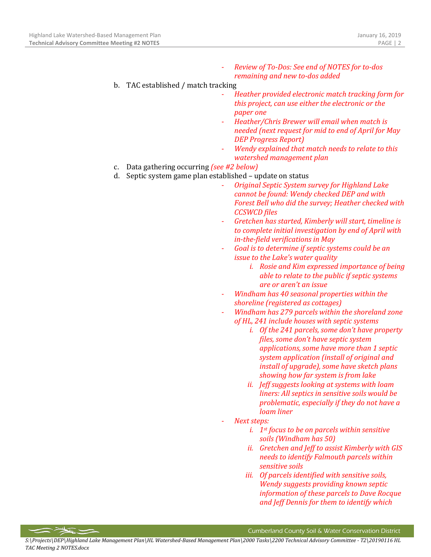- *Review of To-Dos: See end of NOTES for to-dos remaining and new to-dos added*
- b. TAC established / match tracking
	- *Heather provided electronic match tracking form for this project, can use either the electronic or the paper one*
	- *Heather/Chris Brewer will email when match is needed (next request for mid to end of April for May DEP Progress Report)*
	- *Wendy explained that match needs to relate to this watershed management plan*
- c. Data gathering occurring *(see #2 below)*
- d. Septic system game plan established update on status
	- *Original Septic System survey for Highland Lake cannot be found: Wendy checked DEP and with Forest Bell who did the survey; Heather checked with CCSWCD files*
	- *Gretchen has started, Kimberly will start, timeline is to complete initial investigation by end of April with in-the-field verifications in May*
	- *Goal is to determine if septic systems could be an issue to the Lake's water quality*
		- *i. Rosie and Kim expressed importance of being able to relate to the public if septic systems are or aren't an issue*
	- *Windham has 40 seasonal properties within the shoreline (registered as cottages)*
	- *Windham has 279 parcels within the shoreland zone of HL, 241 include houses with septic systems*
		- *i. Of the 241 parcels, some don't have property files, some don't have septic system applications, some have more than 1 septic system application (install of original and install of upgrade), some have sketch plans showing how far system is from lake*
		- *ii. Jeff suggests looking at systems with loam liners: All septics in sensitive soils would be problematic, especially if they do not have a loam liner*
	- *Next steps:* 
		- *i. 1st focus to be on parcels within sensitive soils (Windham has 50)*
		- *ii. Gretchen and Jeff to assist Kimberly with GIS needs to identify Falmouth parcels within sensitive soils*
		- *iii. Of parcels identified with sensitive soils, Wendy suggests providing known septic information of these parcels to Dave Rocque and Jeff Dennis for them to identify which*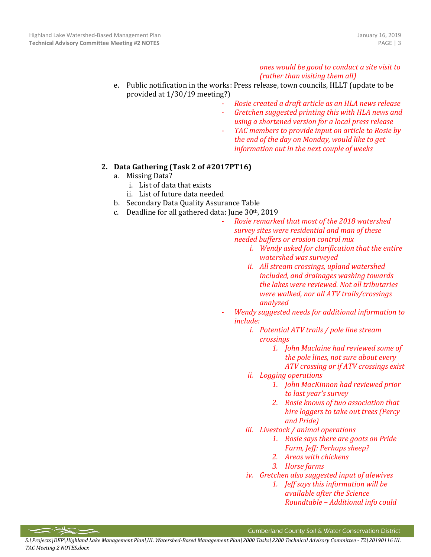#### *ones would be good to conduct a site visit to (rather than visiting them all)*

- e. Public notification in the works: Press release, town councils, HLLT (update to be provided at 1/30/19 meeting?)
	- *Rosie created a draft article as an HLA news release*
	- *Gretchen suggested printing this with HLA news and using a shortened version for a local press release*
	- TAC members to provide input on article to Rosie by *the end of the day on Monday, would like to get information out in the next couple of weeks*

### **2. Data Gathering (Task 2 of #2017PT16)**

- a. Missing Data?
	- i. List of data that exists
	- ii. List of future data needed
- b. Secondary Data Quality Assurance Table
- c. Deadline for all gathered data: June 30th, 2019
	- *Rosie remarked that most of the 2018 watershed survey sites were residential and man of these needed buffers or erosion control mix* 
		- *i. Wendy asked for clarification that the entire watershed was surveyed*
		- *ii. All stream crossings, upland watershed included, and drainages washing towards the lakes were reviewed. Not all tributaries were walked, nor all ATV trails/crossings analyzed*
	- *Wendy suggested needs for additional information to include:*
		- *i. Potential ATV trails / pole line stream crossings* 
			- *1. John Maclaine had reviewed some of the pole lines, not sure about every ATV crossing or if ATV crossings exist*
		- *ii. Logging operations*
			- *1. John MacKinnon had reviewed prior to last year's survey*
			- *2. Rosie knows of two association that hire loggers to take out trees (Percy and Pride)*
		- *iii. Livestock / animal operations*
			- *1. Rosie says there are goats on Pride Farm, Jeff: Perhaps sheep?*
			- *2. Areas with chickens*
			- *3. Horse farms*
		- *iv. Gretchen also suggested input of alewives*
			- *1. Jeff says this information will be available after the Science Roundtable – Additional info could*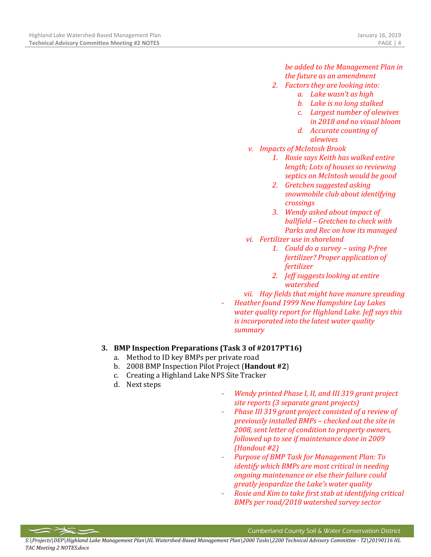### *be added to the Management Plan in the future as an amendment*

- *2. Factors they are looking into:*
	- *a. Lake wasn't as high*
	- *b. Lake is no long stalked*
	- *c. Largest number of alewives in 2018 and no visual bloom*
	- *d. Accurate counting of alewives*
- *v. Impacts of McIntosh Brook*
	- *1. Rosie says Keith has walked entire length; Lots of houses so reviewing septics on McIntosh would be good*
	- *2. Gretchen suggested asking snowmobile club about identifying crossings*
	- *3. Wendy asked about impact of ballfield – Gretchen to check with Parks and Rec on how its managed*
- *vi. Fertilizer use in shoreland*
	- *1. Could do a survey – using P-free fertilizer? Proper application of fertilizer*
	- *2. Jeff suggests looking at entire watershed*
- *vii. Hay fields that might have manure spreading*
- *Heather found 1999 New Hampshire Lay Lakes water quality report for Highland Lake. Jeff says this is incorporated into the latest water quality summary*

## **3. BMP Inspection Preparations (Task 3 of #2017PT16)**

- a. Method to ID key BMPs per private road
- b. 2008 BMP Inspection Pilot Project (**Handout #2**)
- c. Creating a Highland Lake NPS Site Tracker
- d. Next steps
- *Wendy printed Phase I, II, and III 319 grant project site reports (3 separate grant projects)*
- *Phase III 319 grant project consisted of a review of previously installed BMPs – checked out the site in 2008, sent letter of condition to property owners, followed up to see if maintenance done in 2009 (Handout #2)*
- *Purpose of BMP Task for Management Plan: To identify which BMPs are most critical in needing ongoing maintenance or else their failure could greatly jeopardize the Lake's water quality*
- *Rosie and Kim to take first stab at identifying critical BMPs per road/2018 watershed survey sector*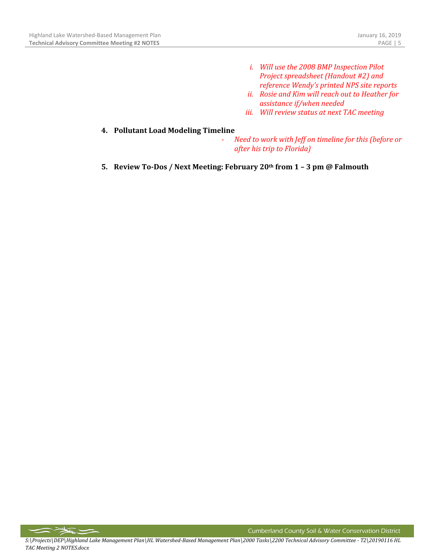- *i. Will use the 2008 BMP Inspection Pilot Project spreadsheet (Handout #2) and reference Wendy's printed NPS site reports*
- *ii. Rosie and Kim will reach out to Heather for assistance if/when needed*
- *iii. Will review status at next TAC meeting*

#### **4. Pollutant Load Modeling Timeline**

- *Need to work with Jeff on timeline for this (before or after his trip to Florida)*
- **5. Review To-Dos / Next Meeting: February 20th from 1 – 3 pm @ Falmouth**

 $\sum$ 

Cumberland County Soil & Water Conservation District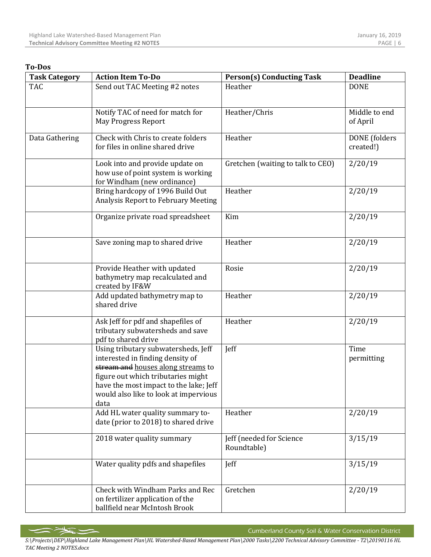#### **To-Dos**

| <b>Task Category</b> | <b>Action Item To-Do</b>                                                                                                                                                                                                                       | <b>Person(s) Conducting Task</b>        | <b>Deadline</b>            |
|----------------------|------------------------------------------------------------------------------------------------------------------------------------------------------------------------------------------------------------------------------------------------|-----------------------------------------|----------------------------|
| <b>TAC</b>           | Send out TAC Meeting #2 notes                                                                                                                                                                                                                  | Heather                                 | <b>DONE</b>                |
|                      | Notify TAC of need for match for<br><b>May Progress Report</b>                                                                                                                                                                                 | Heather/Chris                           | Middle to end<br>of April  |
| Data Gathering       | Check with Chris to create folders<br>for files in online shared drive                                                                                                                                                                         | Heather                                 | DONE (folders<br>created!) |
|                      | Look into and provide update on<br>how use of point system is working<br>for Windham (new ordinance)                                                                                                                                           | Gretchen (waiting to talk to CEO)       | 2/20/19                    |
|                      | Bring hardcopy of 1996 Build Out<br>Analysis Report to February Meeting                                                                                                                                                                        | Heather                                 | 2/20/19                    |
|                      | Organize private road spreadsheet                                                                                                                                                                                                              | Kim                                     | 2/20/19                    |
|                      | Save zoning map to shared drive                                                                                                                                                                                                                | Heather                                 | 2/20/19                    |
|                      | Provide Heather with updated<br>bathymetry map recalculated and<br>created by IF&W                                                                                                                                                             | Rosie                                   | 2/20/19                    |
|                      | Add updated bathymetry map to<br>shared drive                                                                                                                                                                                                  | Heather                                 | 2/20/19                    |
|                      | Ask Jeff for pdf and shapefiles of<br>tributary subwatersheds and save<br>pdf to shared drive                                                                                                                                                  | Heather                                 | 2/20/19                    |
|                      | Using tributary subwatersheds, Jeff<br>interested in finding density of<br>stream and houses along streams to<br>figure out which tributaries might<br>have the most impact to the lake; Jeff<br>would also like to look at impervious<br>data | Jeff                                    | Time<br>permitting         |
|                      | Add HL water quality summary to-<br>date (prior to 2018) to shared drive                                                                                                                                                                       | Heather                                 | 2/20/19                    |
|                      | 2018 water quality summary                                                                                                                                                                                                                     | Jeff (needed for Science<br>Roundtable) | 3/15/19                    |
|                      | Water quality pdfs and shapefiles                                                                                                                                                                                                              | Jeff                                    | 3/15/19                    |
|                      | Check with Windham Parks and Rec<br>on fertilizer application of the<br>ballfield near McIntosh Brook                                                                                                                                          | Gretchen                                | 2/20/19                    |

Cumberland County Soil & Water Conservation District